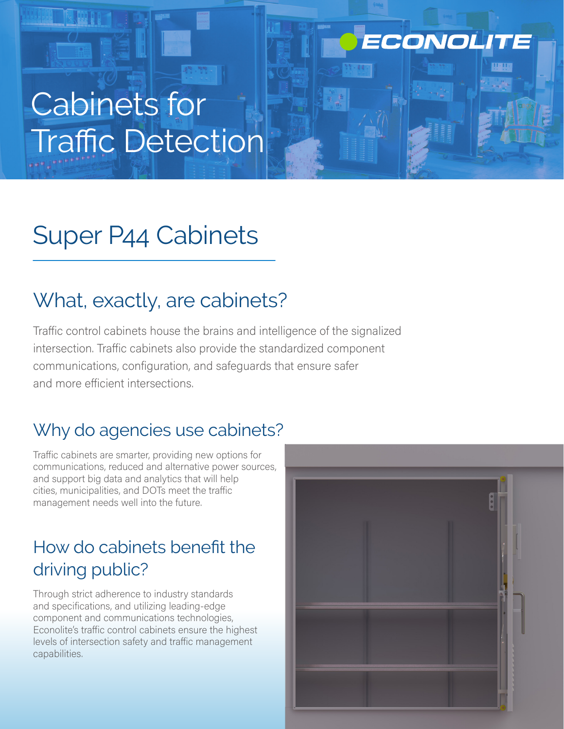## ECONOLITE

# Cabinets for Traffic Detection

## Super P44 Cabinets

## What, exactly, are cabinets?

Traffic control cabinets house the brains and intelligence of the signalized intersection. Traffic cabinets also provide the standardized component communications, configuration, and safeguards that ensure safer and more efficient intersections.

### Why do agencies use cabinets?

Traffic cabinets are smarter, providing new options for communications, reduced and alternative power sources, and support big data and analytics that will help cities, municipalities, and DOTs meet the traffic management needs well into the future.

## How do cabinets benefit the driving public?

Through strict adherence to industry standards and specifications, and utilizing leading-edge component and communications technologies, Econolite's traffic control cabinets ensure the highest levels of intersection safety and traffic management capabilities.